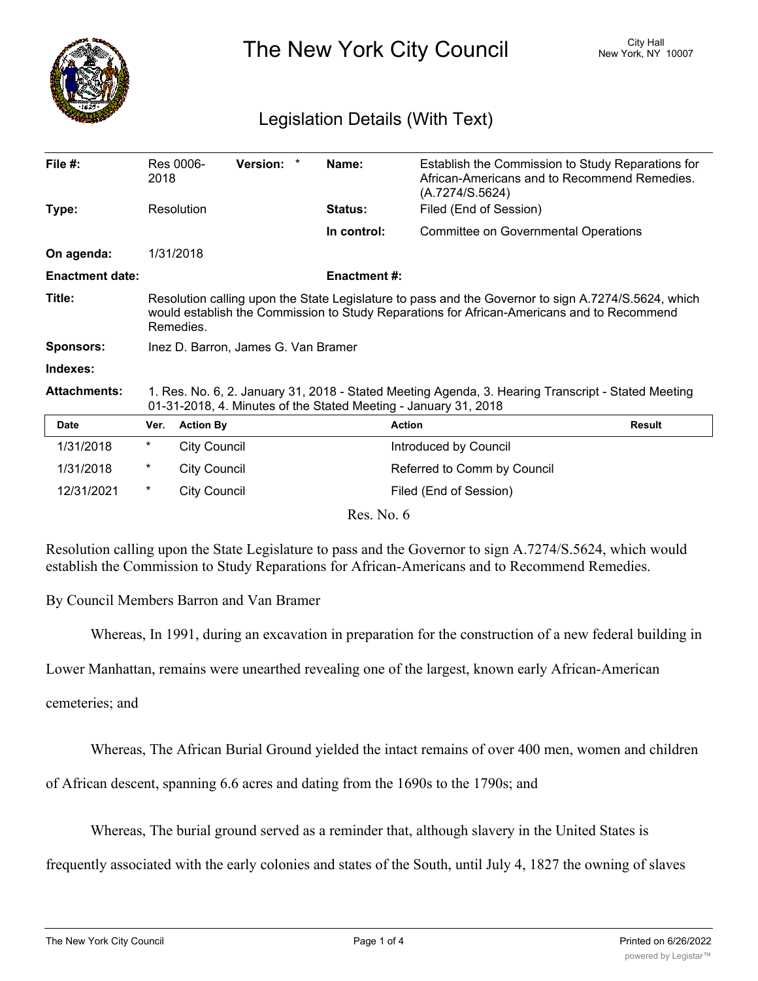

The New York City Council New York, NY 10007

## Legislation Details (With Text)

| File #:                | 2018                                                                                                                                                                                                           | Res 0006-           | <b>Version:</b><br>$\star$ |  | Name:               | Establish the Commission to Study Reparations for<br>African-Americans and to Recommend Remedies.<br>(A.7274/S.5624) |               |
|------------------------|----------------------------------------------------------------------------------------------------------------------------------------------------------------------------------------------------------------|---------------------|----------------------------|--|---------------------|----------------------------------------------------------------------------------------------------------------------|---------------|
| Type:                  |                                                                                                                                                                                                                | Resolution          |                            |  | <b>Status:</b>      | Filed (End of Session)                                                                                               |               |
|                        |                                                                                                                                                                                                                |                     |                            |  | In control:         | <b>Committee on Governmental Operations</b>                                                                          |               |
| On agenda:             |                                                                                                                                                                                                                | 1/31/2018           |                            |  |                     |                                                                                                                      |               |
| <b>Enactment date:</b> |                                                                                                                                                                                                                |                     |                            |  | <b>Enactment #:</b> |                                                                                                                      |               |
| Title:                 | Resolution calling upon the State Legislature to pass and the Governor to sign A.7274/S.5624, which<br>would establish the Commission to Study Reparations for African-Americans and to Recommend<br>Remedies. |                     |                            |  |                     |                                                                                                                      |               |
| Sponsors:              | Inez D. Barron, James G. Van Bramer                                                                                                                                                                            |                     |                            |  |                     |                                                                                                                      |               |
| Indexes:               |                                                                                                                                                                                                                |                     |                            |  |                     |                                                                                                                      |               |
| <b>Attachments:</b>    | 1. Res. No. 6, 2. January 31, 2018 - Stated Meeting Agenda, 3. Hearing Transcript - Stated Meeting<br>01-31-2018, 4. Minutes of the Stated Meeting - January 31, 2018                                          |                     |                            |  |                     |                                                                                                                      |               |
| <b>Date</b>            | Ver.                                                                                                                                                                                                           | <b>Action By</b>    |                            |  |                     | <b>Action</b>                                                                                                        | <b>Result</b> |
| 1/31/2018              | $^\star$                                                                                                                                                                                                       | <b>City Council</b> |                            |  |                     | Introduced by Council                                                                                                |               |
| 1/31/2018              | $^\ast$                                                                                                                                                                                                        | <b>City Council</b> |                            |  |                     | Referred to Comm by Council                                                                                          |               |
| 12/31/2021             | $\ast$                                                                                                                                                                                                         | <b>City Council</b> |                            |  |                     | Filed (End of Session)                                                                                               |               |
| Res. No. 6             |                                                                                                                                                                                                                |                     |                            |  |                     |                                                                                                                      |               |

Resolution calling upon the State Legislature to pass and the Governor to sign A.7274/S.5624, which would establish the Commission to Study Reparations for African-Americans and to Recommend Remedies.

By Council Members Barron and Van Bramer

Whereas, In 1991, during an excavation in preparation for the construction of a new federal building in

Lower Manhattan, remains were unearthed revealing one of the largest, known early African-American

cemeteries; and

Whereas, The African Burial Ground yielded the intact remains of over 400 men, women and children

of African descent, spanning 6.6 acres and dating from the 1690s to the 1790s; and

Whereas, The burial ground served as a reminder that, although slavery in the United States is

frequently associated with the early colonies and states of the South, until July 4, 1827 the owning of slaves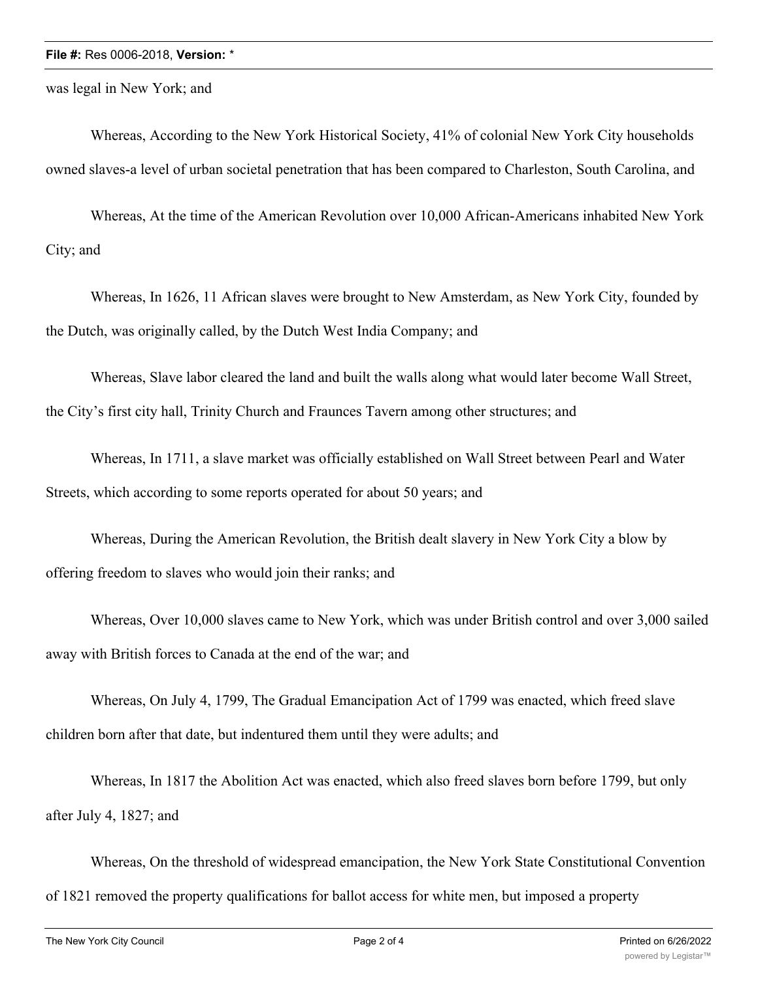## **File #:** Res 0006-2018, **Version:** \*

was legal in New York; and

Whereas, According to the New York Historical Society, 41% of colonial New York City households owned slaves-a level of urban societal penetration that has been compared to Charleston, South Carolina, and

Whereas, At the time of the American Revolution over 10,000 African-Americans inhabited New York City; and

Whereas, In 1626, 11 African slaves were brought to New Amsterdam, as New York City, founded by the Dutch, was originally called, by the Dutch West India Company; and

Whereas, Slave labor cleared the land and built the walls along what would later become Wall Street, the City's first city hall, Trinity Church and Fraunces Tavern among other structures; and

Whereas, In 1711, a slave market was officially established on Wall Street between Pearl and Water Streets, which according to some reports operated for about 50 years; and

Whereas, During the American Revolution, the British dealt slavery in New York City a blow by offering freedom to slaves who would join their ranks; and

Whereas, Over 10,000 slaves came to New York, which was under British control and over 3,000 sailed away with British forces to Canada at the end of the war; and

Whereas, On July 4, 1799, The Gradual Emancipation Act of 1799 was enacted, which freed slave children born after that date, but indentured them until they were adults; and

Whereas, In 1817 the Abolition Act was enacted, which also freed slaves born before 1799, but only after July 4, 1827; and

Whereas, On the threshold of widespread emancipation, the New York State Constitutional Convention of 1821 removed the property qualifications for ballot access for white men, but imposed a property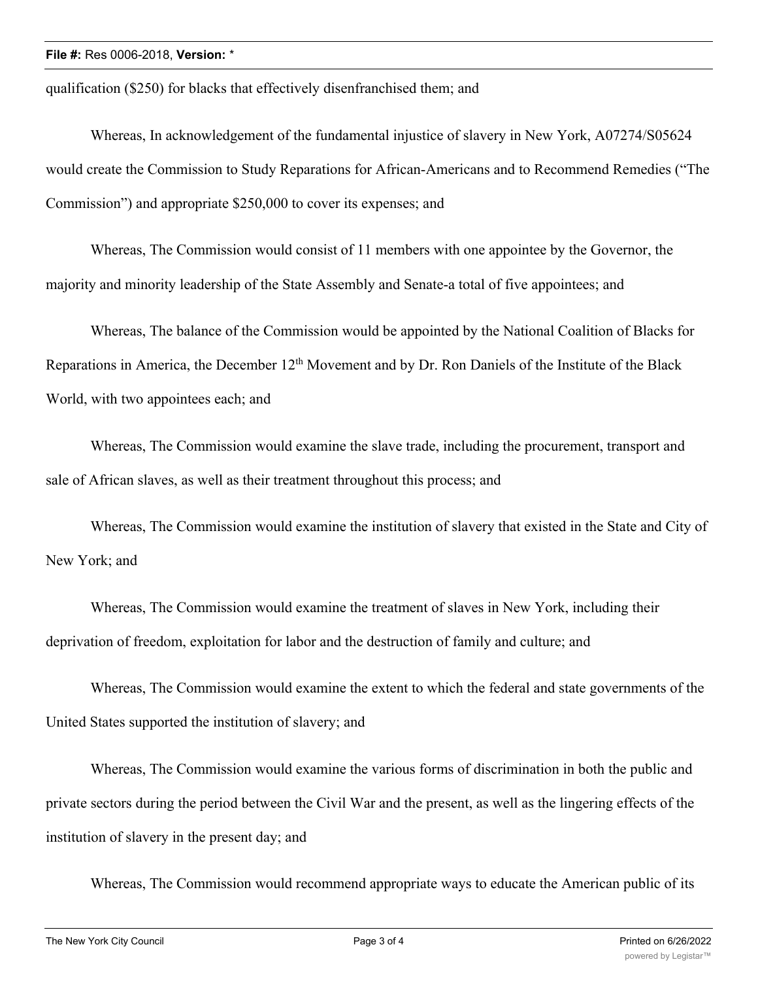qualification (\$250) for blacks that effectively disenfranchised them; and

Whereas, In acknowledgement of the fundamental injustice of slavery in New York, A07274/S05624 would create the Commission to Study Reparations for African-Americans and to Recommend Remedies ("The Commission") and appropriate \$250,000 to cover its expenses; and

Whereas, The Commission would consist of 11 members with one appointee by the Governor, the majority and minority leadership of the State Assembly and Senate-a total of five appointees; and

Whereas, The balance of the Commission would be appointed by the National Coalition of Blacks for Reparations in America, the December 12<sup>th</sup> Movement and by Dr. Ron Daniels of the Institute of the Black World, with two appointees each; and

Whereas, The Commission would examine the slave trade, including the procurement, transport and sale of African slaves, as well as their treatment throughout this process; and

Whereas, The Commission would examine the institution of slavery that existed in the State and City of New York; and

Whereas, The Commission would examine the treatment of slaves in New York, including their deprivation of freedom, exploitation for labor and the destruction of family and culture; and

Whereas, The Commission would examine the extent to which the federal and state governments of the United States supported the institution of slavery; and

Whereas, The Commission would examine the various forms of discrimination in both the public and private sectors during the period between the Civil War and the present, as well as the lingering effects of the institution of slavery in the present day; and

Whereas, The Commission would recommend appropriate ways to educate the American public of its